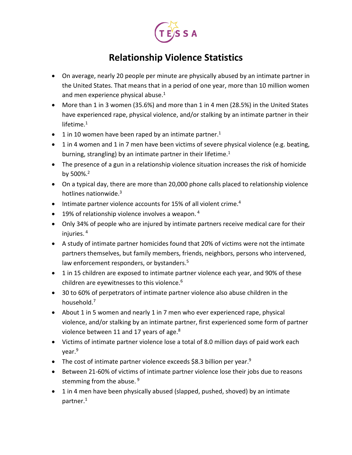

## **Relationship Violence Statistics**

- On average, nearly 20 people per minute are physically abused by an intimate partner in the United States. That means that in a period of one year, more than 10 million women and men experience physical abuse. $1$
- More than 1 in 3 women (35.6%) and more than 1 in 4 men (28.5%) in the United States have experienced rape, physical violence, and/or stalking by an intimate partner in their lifetime.<sup>1</sup>
- 1 in 10 women have been raped by an intimate partner.<sup>1</sup>
- 1 in 4 women and 1 in 7 men have been victims of severe physical violence (e.g. beating, burning, strangling) by an intimate partner in their lifetime.<sup>1</sup>
- The presence of a gun in a relationship violence situation increases the risk of homicide by 500%.<sup>2</sup>
- On a typical day, there are more than 20,000 phone calls placed to relationship violence hotlines nationwide.3
- Intimate partner violence accounts for 15% of all violent crime.<sup>4</sup>
- $\bullet$  19% of relationship violence involves a weapon.<sup>4</sup>
- Only 34% of people who are injured by intimate partners receive medical care for their injuries. <sup>4</sup>
- A study of intimate partner homicides found that 20% of victims were not the intimate partners themselves, but family members, friends, neighbors, persons who intervened, law enforcement responders, or bystanders.<sup>5</sup>
- 1 in 15 children are exposed to intimate partner violence each year, and 90% of these children are eyewitnesses to this violence.<sup>6</sup>
- 30 to 60% of perpetrators of intimate partner violence also abuse children in the household.<sup>7</sup>
- About 1 in 5 women and nearly 1 in 7 men who ever experienced rape, physical violence, and/or stalking by an intimate partner, first experienced some form of partner violence between 11 and 17 years of age.<sup>8</sup>
- Victims of intimate partner violence lose a total of 8.0 million days of paid work each year.9
- The cost of intimate partner violence exceeds \$8.3 billion per year.<sup>9</sup>
- Between 21-60% of victims of intimate partner violence lose their jobs due to reasons stemming from the abuse.<sup>9</sup>
- 1 in 4 men have been physically abused (slapped, pushed, shoved) by an intimate partner.<sup>1</sup>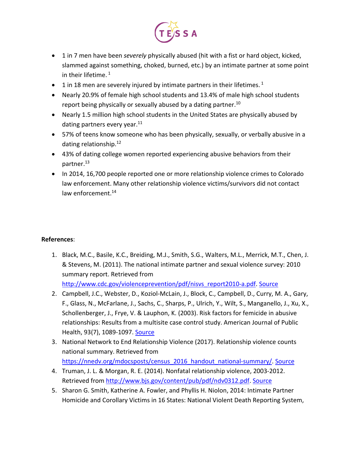

- 1 in 7 men have been *severely* physically abused (hit with a fist or hard object, kicked, slammed against something, choked, burned, etc.) by an intimate partner at some point in their lifetime.  $1$
- $\bullet$  1 in 18 men are severely injured by intimate partners in their lifetimes.<sup>1</sup>
- Nearly 20.9% of female high school students and 13.4% of male high school students report being physically or sexually abused by a dating partner.<sup>10</sup>
- Nearly 1.5 million high school students in the United States are physically abused by dating partners every year.<sup>11</sup>
- 57% of teens know someone who has been physically, sexually, or verbally abusive in a dating relationship.12
- 43% of dating college women reported experiencing abusive behaviors from their partner.<sup>13</sup>
- In 2014, 16,700 people reported one or more relationship violence crimes to Colorado law enforcement. Many other relationship violence victims/survivors did not contact law enforcement.<sup>14</sup>

## **References**:

- 1. Black, M.C., Basile, K.C., Breiding, M.J., Smith, S.G., Walters, M.L., Merrick, M.T., Chen, J. & Stevens, M. (2011). The national intimate partner and sexual violence survey: 2010 summary report. Retrieved from [http://www.cdc.gov/violenceprevention/pdf/nisvs\\_report2010-a.pdf.](http://www.cdc.gov/violenceprevention/pdf/nisvs_report2010-a.pdf) [Source](https://www.cdc.gov/violenceprevention/pdf/nisvs_report2010-a.pdf)
- 2. Campbell, J.C., Webster, D., Koziol-McLain, J., Block, C., Campbell, D., Curry, M. A., Gary, F., Glass, N., McFarlane, J., Sachs, C., Sharps, P., Ulrich, Y., Wilt, S., Manganello, J., Xu, X., Schollenberger, J., Frye, V. & Lauphon, K. (2003). Risk factors for femicide in abusive relationships: Results from a multisite case control study. American Journal of Public Health, 93(7), 1089-1097. [Source](https://www.ncbi.nlm.nih.gov/pmc/articles/PMC1447915/)
- 3. National Network to End Relationship Violence (2017). Relationship violence counts national summary. Retrieved from [https://nnedv.org/mdocsposts/census\\_2016\\_handout\\_national-summary/.](https://nnedv.org/mdocsposts/census_2016_handout_national-summary/) [Source](https://nnedv.org/mdocs-posts/2013-census-full-report/)
- 4. Truman, J. L. & Morgan, R. E. (2014). Nonfatal relationship violence, 2003-2012. Retrieved from [http://www.bjs.gov/content/pub/pdf/ndv0312.pdf.](http://www.bjs.gov/content/pub/pdf/ndv0312.pdf) [Source](https://www.bjs.gov/content/pub/pdf/ndv0312.pdf)
- 5. Sharon G. Smith, Katherine A. Fowler, and Phyllis H. Niolon, 2014: Intimate Partner Homicide and Corollary Victims in 16 States: National Violent Death Reporting System,